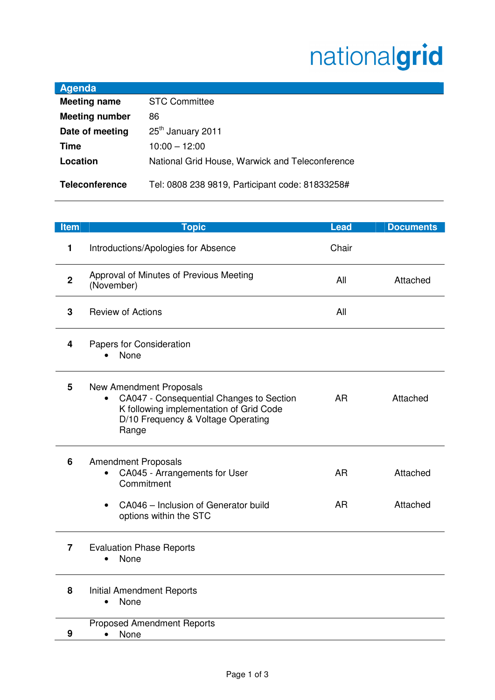## nationalgrid

| <b>Agenda</b>         |                                                 |
|-----------------------|-------------------------------------------------|
| <b>Meeting name</b>   | <b>STC Committee</b>                            |
| <b>Meeting number</b> | 86                                              |
| Date of meeting       | 25 <sup>th</sup> January 2011                   |
| Time                  | $10:00 - 12:00$                                 |
| Location              | National Grid House, Warwick and Teleconference |
| <b>Teleconference</b> | Tel: 0808 238 9819, Participant code: 81833258# |

| Item           | <b>Topic</b>                                                                                                                                                         | <b>Lead</b>            | <b>Documents</b>     |
|----------------|----------------------------------------------------------------------------------------------------------------------------------------------------------------------|------------------------|----------------------|
| $\mathbf{1}$   | Introductions/Apologies for Absence                                                                                                                                  | Chair                  |                      |
| $\overline{2}$ | Approval of Minutes of Previous Meeting<br>(November)                                                                                                                | All                    | Attached             |
| 3              | <b>Review of Actions</b>                                                                                                                                             | All                    |                      |
| 4              | Papers for Consideration<br>None                                                                                                                                     |                        |                      |
| 5              | <b>New Amendment Proposals</b><br>CA047 - Consequential Changes to Section<br>K following implementation of Grid Code<br>D/10 Frequency & Voltage Operating<br>Range | <b>AR</b>              | Attached             |
| 6              | <b>Amendment Proposals</b><br>CA045 - Arrangements for User<br>Commitment<br>CA046 - Inclusion of Generator build                                                    | <b>AR</b><br><b>AR</b> | Attached<br>Attached |
|                | options within the STC                                                                                                                                               |                        |                      |
| $\overline{7}$ | <b>Evaluation Phase Reports</b><br>None                                                                                                                              |                        |                      |
| 8              | <b>Initial Amendment Reports</b><br>None                                                                                                                             |                        |                      |
|                | <b>Proposed Amendment Reports</b>                                                                                                                                    |                        |                      |
| 9              | None<br>$\bullet$                                                                                                                                                    |                        |                      |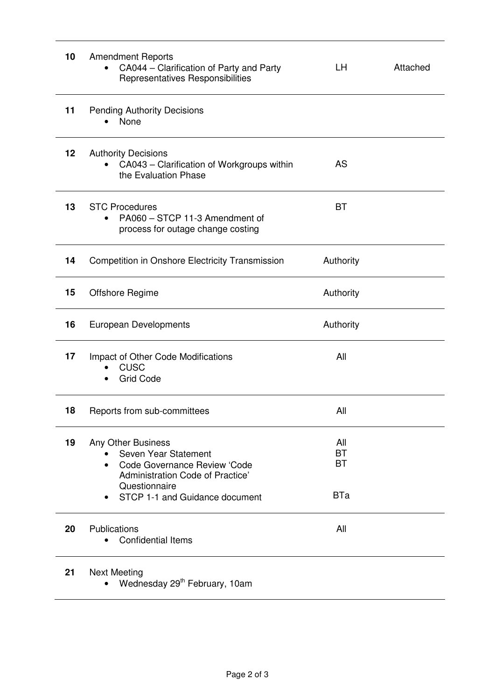| 10 | <b>Amendment Reports</b><br>CA044 – Clarification of Party and Party<br>Representatives Responsibilities                                                                       | LН                                          | Attached |
|----|--------------------------------------------------------------------------------------------------------------------------------------------------------------------------------|---------------------------------------------|----------|
| 11 | <b>Pending Authority Decisions</b><br>None                                                                                                                                     |                                             |          |
| 12 | <b>Authority Decisions</b><br>CA043 - Clarification of Workgroups within<br>the Evaluation Phase                                                                               | <b>AS</b>                                   |          |
| 13 | <b>STC Procedures</b><br>PA060 - STCP 11-3 Amendment of<br>process for outage change costing                                                                                   | <b>BT</b>                                   |          |
| 14 | <b>Competition in Onshore Electricity Transmission</b>                                                                                                                         | Authority                                   |          |
| 15 | <b>Offshore Regime</b>                                                                                                                                                         | Authority                                   |          |
| 16 | <b>European Developments</b>                                                                                                                                                   | Authority                                   |          |
| 17 | Impact of Other Code Modifications<br><b>CUSC</b><br><b>Grid Code</b>                                                                                                          | All                                         |          |
| 18 | Reports from sub-committees                                                                                                                                                    | All                                         |          |
| 19 | Any Other Business<br>Seven Year Statement<br>Code Governance Review 'Code<br>$\bullet$<br>Administration Code of Practice'<br>Questionnaire<br>STCP 1-1 and Guidance document | All<br><b>BT</b><br><b>BT</b><br><b>BTa</b> |          |
| 20 | Publications<br><b>Confidential Items</b>                                                                                                                                      | All                                         |          |
| 21 | <b>Next Meeting</b>                                                                                                                                                            |                                             |          |

 $\bullet$  Wednesday 29<sup>th</sup> February, 10am